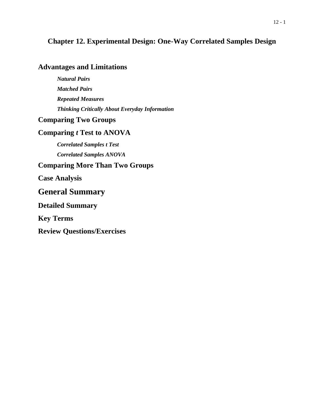# **Chapter 12. Experimental Design: One-Way Correlated Samples Design**

# **Advantages and Limitations**

| <b>Natural Pairs</b>                                  |
|-------------------------------------------------------|
| <b>Matched Pairs</b>                                  |
| <b>Repeated Measures</b>                              |
| <b>Thinking Critically About Everyday Information</b> |
| <b>Comparing Two Groups</b>                           |
| Comparing t Test to ANOVA                             |
| <b>Correlated Samples t Test</b>                      |
| <b>Correlated Samples ANOVA</b>                       |
| <b>Comparing More Than Two Groups</b>                 |
| <b>Case Analysis</b>                                  |
| <b>General Summary</b>                                |
| <b>Detailed Summary</b>                               |
| Key Terms                                             |
| <b>Review Questions/Exercises</b>                     |
|                                                       |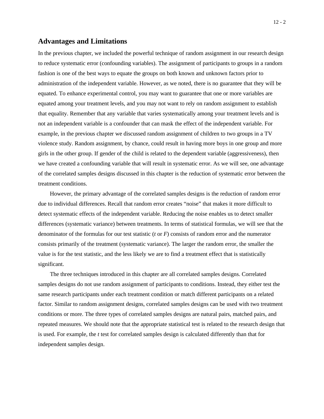### **Advantages and Limitations**

In the previous chapter, we included the powerful technique of random assignment in our research design to reduce systematic error (confounding variables). The assignment of participants to groups in a random fashion is one of the best ways to equate the groups on both known and unknown factors prior to administration of the independent variable. However, as we noted, there is no guarantee that they will be equated. To enhance experimental control, you may want to guarantee that one or more variables are equated among your treatment levels, and you may not want to rely on random assignment to establish that equality. Remember that any variable that varies systematically among your treatment levels and is not an independent variable is a confounder that can mask the effect of the independent variable. For example, in the previous chapter we discussed random assignment of children to two groups in a TV violence study. Random assignment, by chance, could result in having more boys in one group and more girls in the other group. If gender of the child is related to the dependent variable (aggressiveness), then we have created a confounding variable that will result in systematic error. As we will see, one advantage of the correlated samples designs discussed in this chapter is the reduction of systematic error between the treatment conditions.

However, the primary advantage of the correlated samples designs is the reduction of random error due to individual differences. Recall that random error creates "noise" that makes it more difficult to detect systematic effects of the independent variable. Reducing the noise enables us to detect smaller differences (systematic variance) between treatments. In terms of statistical formulas, we will see that the denominator of the formulas for our test statistic (*t* or *F*) consists of random error and the numerator consists primarily of the treatment (systematic variance). The larger the random error, the smaller the value is for the test statistic, and the less likely we are to find a treatment effect that is statistically significant.

The three techniques introduced in this chapter are all correlated samples designs. Correlated samples designs do not use random assignment of participants to conditions. Instead, they either test the same research participants under each treatment condition or match different participants on a related factor. Similar to random assignment designs, correlated samples designs can be used with two treatment conditions or more. The three types of correlated samples designs are natural pairs, matched pairs, and repeated measures. We should note that the appropriate statistical test is related to the research design that is used. For example, the *t* test for correlated samples design is calculated differently than that for independent samples design.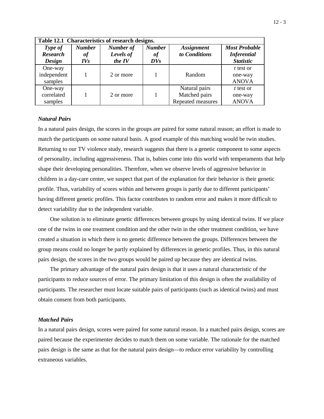| Table 12.1 Characteristics of research designs. |                                        |                                  |                                   |                                                     |                                                                |  |  |  |  |
|-------------------------------------------------|----------------------------------------|----------------------------------|-----------------------------------|-----------------------------------------------------|----------------------------------------------------------------|--|--|--|--|
| Type of<br><b>Research</b><br>Design            | <b>Number</b><br>of<br>IV <sub>S</sub> | Number of<br>Levels of<br>the IV | <b>Number</b><br><b>of</b><br>DVs | <b>Assignment</b><br>to Conditions                  | <b>Most Probable</b><br><b>Inferential</b><br><b>Statistic</b> |  |  |  |  |
| One-way<br>independent<br>samples               |                                        | 2 or more                        |                                   | Random                                              | t test or<br>one-way<br><b>ANOVA</b>                           |  |  |  |  |
| One-way<br>correlated<br>samples                |                                        | 2 or more                        |                                   | Natural pairs<br>Matched pairs<br>Repeated measures | t test or<br>one-way<br><b>ANOVA</b>                           |  |  |  |  |

#### *Natural Pairs*

In a natural pairs design, the scores in the groups are paired for some natural reason; an effort is made to match the participants on some natural basis. A good example of this matching would be twin studies. Returning to our TV violence study, research suggests that there is a genetic component to some aspects of personality, including aggressiveness. That is, babies come into this world with temperaments that help shape their developing personalities. Therefore, when we observe levels of aggressive behavior in children in a day-care center, we suspect that part of the explanation for their behavior is their genetic profile. Thus, variability of scores within and between groups is partly due to different participants' having different genetic profiles. This factor contributes to random error and makes it more difficult to detect variability due to the independent variable.

One solution is to eliminate genetic differences between groups by using identical twins. If we place one of the twins in one treatment condition and the other twin in the other treatment condition, we have created a situation in which there is no genetic difference between the groups. Differences between the group means could no longer be partly explained by differences in genetic profiles. Thus, in this natural pairs design, the scores in the two groups would be paired up because they are identical twins.

The primary advantage of the natural pairs design is that it uses a natural characteristic of the participants to reduce sources of error. The primary limitation of this design is often the availability of participants. The researcher must locate suitable pairs of participants (such as identical twins) and must obtain consent from both participants.

#### *Matched Pairs*

In a natural pairs design, scores were paired for some natural reason. In a matched pairs design, scores are paired because the experimenter decides to match them on some variable. The rationale for the matched pairs design is the same as that for the natural pairs design—to reduce error variability by controlling extraneous variables.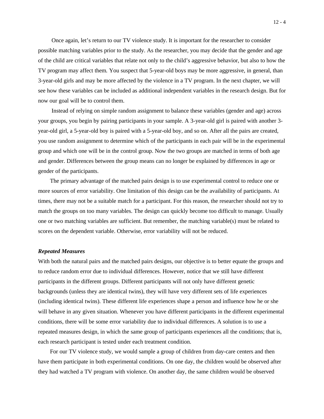Once again, let's return to our TV violence study. It is important for the researcher to consider possible matching variables prior to the study. As the researcher, you may decide that the gender and age of the child are critical variables that relate not only to the child's aggressive behavior, but also to how the TV program may affect them. You suspect that 5-year-old boys may be more aggressive, in general, than 3-year-old girls and may be more affected by the violence in a TV program. In the next chapter, we will see how these variables can be included as additional independent variables in the research design. But for now our goal will be to control them.

Instead of relying on simple random assignment to balance these variables (gender and age) across your groups, you begin by pairing participants in your sample. A 3-year-old girl is paired with another 3 year-old girl, a 5-year-old boy is paired with a 5-year-old boy, and so on. After all the pairs are created, you use random assignment to determine which of the participants in each pair will be in the experimental group and which one will be in the control group. Now the two groups are matched in terms of both age and gender. Differences between the group means can no longer be explained by differences in age or gender of the participants.

The primary advantage of the matched pairs design is to use experimental control to reduce one or more sources of error variability. One limitation of this design can be the availability of participants. At times, there may not be a suitable match for a participant. For this reason, the researcher should not try to match the groups on too many variables. The design can quickly become too difficult to manage. Usually one or two matching variables are sufficient. But remember, the matching variable(s) must be related to scores on the dependent variable. Otherwise, error variability will not be reduced.

#### *Repeated Measures*

With both the natural pairs and the matched pairs designs, our objective is to better equate the groups and to reduce random error due to individual differences. However, notice that we still have different participants in the different groups. Different participants will not only have different genetic backgrounds (unless they are identical twins), they will have very different sets of life experiences (including identical twins). These different life experiences shape a person and influence how he or she will behave in any given situation. Whenever you have different participants in the different experimental conditions, there will be some error variability due to individual differences. A solution is to use a repeated measures design, in which the same group of participants experiences all the conditions; that is, each research participant is tested under each treatment condition.

For our TV violence study, we would sample a group of children from day-care centers and then have them participate in both experimental conditions. On one day, the children would be observed after they had watched a TV program with violence. On another day, the same children would be observed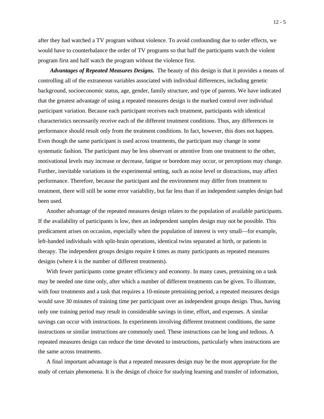after they had watched a TV program without violence. To avoid confounding due to order effects, we would have to counterbalance the order of TV programs so that half the participants watch the violent program first and half watch the program without the violence first.

*Advantages of Repeated Measures Designs.* The beauty of this design is that it provides a means of controlling all of the extraneous variables associated with individual differences, including genetic background, socioeconomic status, age, gender, family structure, and type of parents. We have indicated that the greatest advantage of using a repeated measures design is the marked control over individual participant variation. Because each participant receives each treatment, participants with identical characteristics necessarily receive each of the different treatment conditions. Thus, any differences in performance should result only from the treatment conditions. In fact, however, this does not happen. Even though the same participant is used across treatments, the participant may change in some systematic fashion. The participant may be less observant or attentive from one treatment to the other, motivational levels may increase or decrease, fatigue or boredom may occur, or perceptions may change. Further, inevitable variations in the experimental setting, such as noise level or distractions, may affect performance. Therefore, because the participant and the environment may differ from treatment to treatment, there will still be some error variability, but far less than if an independent samples design had been used.

Another advantage of the repeated measures design relates to the population of available participants. If the availability of participants is low, then an independent samples design may not be possible. This predicament arises on occasion, especially when the population of interest is very small—for example, left-handed individuals with split-brain operations, identical twins separated at birth, or patients in therapy. The independent groups designs require *k* times as many participants as repeated measures designs (where *k* is the number of different treatments).

With fewer participants come greater efficiency and economy. In many cases, pretraining on a task may be needed one time only, after which a number of different treatments can be given. To illustrate, with four treatments and a task that requires a 10-minute pretraining period, a repeated measures design would save 30 minutes of training time per participant over an independent groups design. Thus, having only one training period may result in considerable savings in time, effort, and expenses. A similar savings can occur with instructions. In experiments involving different treatment conditions, the same instructions or similar instructions are commonly used. These instructions can be long and tedious. A repeated measures design can reduce the time devoted to instructions, particularly when instructions are the same across treatments.

A final important advantage is that a repeated measures design may be the most appropriate for the study of certain phenomena. It is the design of choice for studying learning and transfer of information,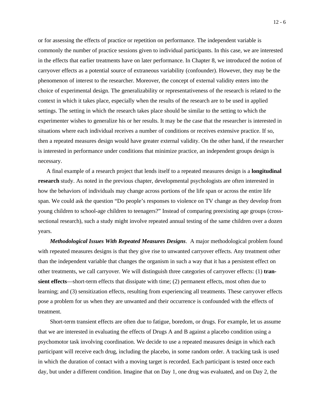or for assessing the effects of practice or repetition on performance. The independent variable is commonly the number of practice sessions given to individual participants. In this case, we are interested in the effects that earlier treatments have on later performance. In Chapter 8, we introduced the notion of carryover effects as a potential source of extraneous variability (confounder). However, they may be the phenomenon of interest to the researcher. Moreover, the concept of external validity enters into the choice of experimental design. The generalizability or representativeness of the research is related to the context in which it takes place, especially when the results of the research are to be used in applied settings. The setting in which the research takes place should be similar to the setting to which the experimenter wishes to generalize his or her results. It may be the case that the researcher is interested in situations where each individual receives a number of conditions or receives extensive practice. If so, then a repeated measures design would have greater external validity. On the other hand, if the researcher is interested in performance under conditions that minimize practice, an independent groups design is necessary.

A final example of a research project that lends itself to a repeated measures design is a **longitudinal research** study. As noted in the previous chapter, developmental psychologists are often interested in how the behaviors of individuals may change across portions of the life span or across the entire life span. We could ask the question "Do people's responses to violence on TV change as they develop from young children to school-age children to teenagers?" Instead of comparing preexisting age groups (crosssectional research), such a study might involve repeated annual testing of the same children over a dozen years.

*Methodological Issues With Repeated Measures Designs*. A major methodological problem found with repeated measures designs is that they give rise to unwanted carryover effects. Any treatment other than the independent variable that changes the organism in such a way that it has a persistent effect on other treatments, we call carryover. We will distinguish three categories of carryover effects: (1) **transient effects**—short-term effects that dissipate with time; (2) permanent effects, most often due to learning; and (3) sensitization effects, resulting from experiencing all treatments. These carryover effects pose a problem for us when they are unwanted and their occurrence is confounded with the effects of treatment.

Short-term transient effects are often due to fatigue, boredom, or drugs. For example, let us assume that we are interested in evaluating the effects of Drugs A and B against a placebo condition using a psychomotor task involving coordination. We decide to use a repeated measures design in which each participant will receive each drug, including the placebo, in some random order. A tracking task is used in which the duration of contact with a moving target is recorded. Each participant is tested once each day, but under a different condition. Imagine that on Day 1, one drug was evaluated, and on Day 2, the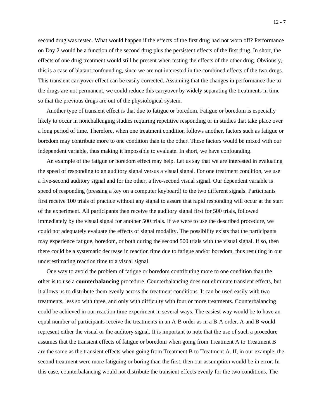second drug was tested. What would happen if the effects of the first drug had not worn off? Performance on Day 2 would be a function of the second drug plus the persistent effects of the first drug. In short, the effects of one drug treatment would still be present when testing the effects of the other drug. Obviously, this is a case of blatant confounding, since we are not interested in the combined effects of the two drugs. This transient carryover effect can be easily corrected. Assuming that the changes in performance due to the drugs are not permanent, we could reduce this carryover by widely separating the treatments in time so that the previous drugs are out of the physiological system.

Another type of transient effect is that due to fatigue or boredom. Fatigue or boredom is especially likely to occur in nonchallenging studies requiring repetitive responding or in studies that take place over a long period of time. Therefore, when one treatment condition follows another, factors such as fatigue or boredom may contribute more to one condition than to the other. These factors would be mixed with our independent variable, thus making it impossible to evaluate. In short, we have confounding.

An example of the fatigue or boredom effect may help. Let us say that we are interested in evaluating the speed of responding to an auditory signal versus a visual signal. For one treatment condition, we use a five-second auditory signal and for the other, a five-second visual signal. Our dependent variable is speed of responding (pressing a key on a computer keyboard) to the two different signals. Participants first receive 100 trials of practice without any signal to assure that rapid responding will occur at the start of the experiment. All participants then receive the auditory signal first for 500 trials, followed immediately by the visual signal for another 500 trials. If we were to use the described procedure, we could not adequately evaluate the effects of signal modality. The possibility exists that the participants may experience fatigue, boredom, or both during the second 500 trials with the visual signal. If so, then there could be a systematic decrease in reaction time due to fatigue and/or boredom, thus resulting in our underestimating reaction time to a visual signal.

One way to avoid the problem of fatigue or boredom contributing more to one condition than the other is to use a **counterbalancing** procedure. Counterbalancing does not eliminate transient effects, but it allows us to distribute them evenly across the treatment conditions. It can be used easily with two treatments, less so with three, and only with difficulty with four or more treatments. Counterbalancing could be achieved in our reaction time experiment in several ways. The easiest way would be to have an equal number of participants receive the treatments in an A-B order as in a B-A order. A and B would represent either the visual or the auditory signal. It is important to note that the use of such a procedure assumes that the transient effects of fatigue or boredom when going from Treatment A to Treatment B are the same as the transient effects when going from Treatment B to Treatment A. If, in our example, the second treatment were more fatiguing or boring than the first, then our assumption would be in error. In this case, counterbalancing would not distribute the transient effects evenly for the two conditions. The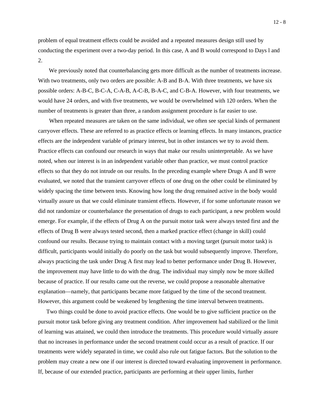problem of equal treatment effects could be avoided and a repeated measures design still used by conducting the experiment over a two-day period. In this case, A and B would correspond to Days l and 2.

We previously noted that counterbalancing gets more difficult as the number of treatments increase. With two treatments, only two orders are possible: A-B and B-A. With three treatments, we have six possible orders: A-B-C, B-C-A, C-A-B, A-C-B, B-A-C, and C-B-A. However, with four treatments, we would have 24 orders, and with five treatments, we would be overwhelmed with 120 orders. When the number of treatments is greater than three, a random assignment procedure is far easier to use.

When repeated measures are taken on the same individual, we often see special kinds of permanent carryover effects. These are referred to as practice effects or learning effects. In many instances, practice effects are the independent variable of primary interest, but in other instances we try to avoid them. Practice effects can confound our research in ways that make our results uninterpretable. As we have noted, when our interest is in an independent variable other than practice, we must control practice effects so that they do not intrude on our results. In the preceding example where Drugs A and B were evaluated, we noted that the transient carryover effects of one drug on the other could be eliminated by widely spacing the time between tests. Knowing how long the drug remained active in the body would virtually assure us that we could eliminate transient effects. However, if for some unfortunate reason we did not randomize or counterbalance the presentation of drugs to each participant, a new problem would emerge. For example, if the effects of Drug A on the pursuit motor task were always tested first and the effects of Drug B were always tested second, then a marked practice effect (change in skill) could confound our results. Because trying to maintain contact with a moving target (pursuit motor task) is difficult, participants would initially do poorly on the task but would subsequently improve. Therefore, always practicing the task under Drug A first may lead to better performance under Drug B. However, the improvement may have little to do with the drug. The individual may simply now be more skilled because of practice. If our results came out the reverse, we could propose a reasonable alternative explanation—namely, that participants became more fatigued by the time of the second treatment. However, this argument could be weakened by lengthening the time interval between treatments.

Two things could be done to avoid practice effects. One would be to give sufficient practice on the pursuit motor task before giving any treatment condition. After improvement had stabilized or the limit of learning was attained, we could then introduce the treatments. This procedure would virtually assure that no increases in performance under the second treatment could occur as a result of practice. If our treatments were widely separated in time, we could also rule out fatigue factors. But the solution to the problem may create a new one if our interest is directed toward evaluating improvement in performance. If, because of our extended practice, participants are performing at their upper limits, further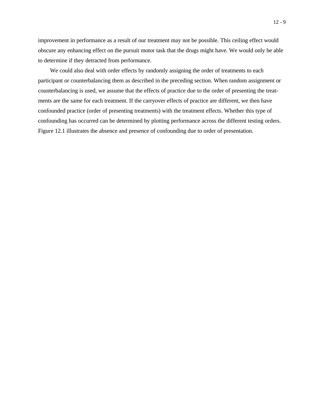improvement in performance as a result of our treatment may not be possible. This ceiling effect would obscure any enhancing effect on the pursuit motor task that the drugs might have. We would only be able to determine if they detracted from performance.

We could also deal with order effects by randomly assigning the order of treatments to each participant or counterbalancing them as described in the preceding section. When random assignment or counterbalancing is used, we assume that the effects of practice due to the order of presenting the treatments are the same for each treatment. If the carryover effects of practice are different, we then have confounded practice (order of presenting treatments) with the treatment effects. Whether this type of confounding has occurred can be determined by plotting performance across the different testing orders. Figure 12.1 illustrates the absence and presence of confounding due to order of presentation.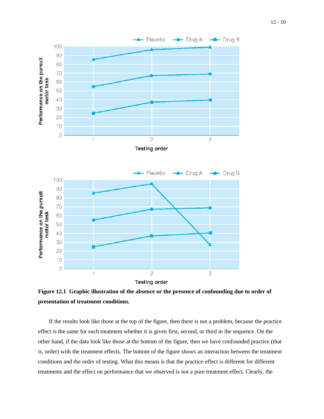



**Figure 12.1 Graphic illustration of the absence or the presence of confounding due to order of presentation of treatment conditions.**

If the results look like those at the top of the figure, then there is not a problem, because the practice effect is the same for each treatment whether it is given first, second, or third in the sequence. On the other hand, if the data look like those at the bottom of the figure, then we have confounded practice (that is, order) with the treatment effects. The bottom of the figure shows an interaction between the treatment conditions and the order of testing. What this means is that the practice effect is different for different treatments and the effect on performance that we observed is not a pure treatment effect. Clearly, the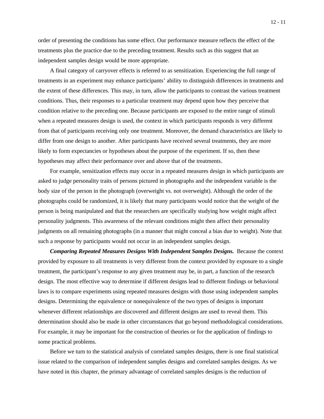order of presenting the conditions has some effect. Our performance measure reflects the effect of the treatments plus the practice due to the preceding treatment. Results such as this suggest that an independent samples design would be more appropriate.

A final category of carryover effects is referred to as sensitization. Experiencing the full range of treatments in an experiment may enhance participants' ability to distinguish differences in treatments and the extent of these differences. This may, in turn, allow the participants to contrast the various treatment conditions. Thus, their responses to a particular treatment may depend upon how they perceive that condition relative to the preceding one. Because participants are exposed to the entire range of stimuli when a repeated measures design is used, the context in which participants responds is very different from that of participants receiving only one treatment. Moreover, the demand characteristics are likely to differ from one design to another. After participants have received several treatments, they are more likely to form expectancies or hypotheses about the purpose of the experiment. If so, then these hypotheses may affect their performance over and above that of the treatments.

For example, sensitization effects may occur in a repeated measures design in which participants are asked to judge personality traits of persons pictured in photographs and the independent variable is the body size of the person in the photograph (overweight vs. not overweight). Although the order of the photographs could be randomized, it is likely that many participants would notice that the weight of the person is being manipulated and that the researchers are specifically studying how weight might affect personality judgments. This awareness of the relevant conditions might then affect their personality judgments on all remaining photographs (in a manner that might conceal a bias due to weight). Note that such a response by participants would not occur in an independent samples design.

*Comparing Repeated Measures Designs With Independent Samples Designs.* Because the context provided by exposure to all treatments is very different from the context provided by exposure to a single treatment, the participant's response to any given treatment may be, in part, a function of the research design. The most effective way to determine if different designs lead to different findings or behavioral laws is to compare experiments using repeated measures designs with those using independent samples designs. Determining the equivalence or nonequivalence of the two types of designs is important whenever different relationships are discovered and different designs are used to reveal them. This determination should also be made in other circumstances that go beyond methodological considerations. For example, it may be important for the construction of theories or for the application of findings to some practical problems.

Before we turn to the statistical analysis of correlated samples designs, there is one final statistical issue related to the comparison of independent samples designs and correlated samples designs. As we have noted in this chapter, the primary advantage of correlated samples designs is the reduction of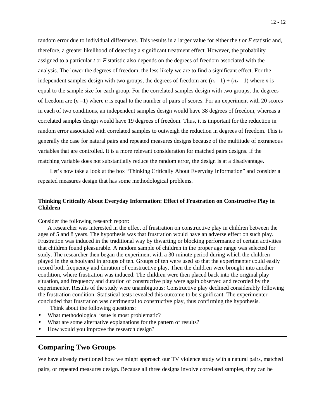random error due to individual differences. This results in a larger value for either the *t* or *F* statistic and, therefore, a greater likelihood of detecting a significant treatment effect. However, the probability assigned to a particular *t* or *F* statistic also depends on the degrees of freedom associated with the analysis. The lower the degrees of freedom, the less likely we are to find a significant effect. For the independent samples design with two groups, the degrees of freedom are  $(n_1 - 1) + (n_2 - 1)$  where *n* is equal to the sample size for each group. For the correlated samples design with two groups, the degrees of freedom are (*n* –1) where *n* is equal to the number of pairs of scores. For an experiment with 20 scores in each of two conditions, an independent samples design would have 38 degrees of freedom, whereas a correlated samples design would have 19 degrees of freedom. Thus, it is important for the reduction in random error associated with correlated samples to outweigh the reduction in degrees of freedom. This is generally the case for natural pairs and repeated measures designs because of the multitude of extraneous variables that are controlled. It is a more relevant consideration for matched pairs designs. If the matching variable does not substantially reduce the random error, the design is at a disadvantage.

Let's now take a look at the box "Thinking Critically About Everyday Information" and consider a repeated measures design that has some methodological problems.

### **Thinking Critically About Everyday Information: Effect of Frustration on Constructive Play in Children**

Consider the following research report:

A researcher was interested in the effect of frustration on constructive play in children between the ages of 5 and 8 years. The hypothesis was that frustration would have an adverse effect on such play. Frustration was induced in the traditional way by thwarting or blocking performance of certain activities that children found pleasurable. A random sample of children in the proper age range was selected for study. The researcher then began the experiment with a 30-minute period during which the children played in the schoolyard in groups of ten. Groups of ten were used so that the experimenter could easily record both frequency and duration of constructive play. Then the children were brought into another condition, where frustration was induced. The children were then placed back into the original play situation, and frequency and duration of constructive play were again observed and recorded by the experimenter. Results of the study were unambiguous: Constructive play declined considerably following the frustration condition. Statistical tests revealed this outcome to be significant. The experimenter concluded that frustration was detrimental to constructive play, thus confirming the hypothesis.

- Think about the following questions:
- What methodological issue is most problematic?
- What are some alternative explanations for the pattern of results?
- How would you improve the research design?

### **Comparing Two Groups**

We have already mentioned how we might approach our TV violence study with a natural pairs, matched pairs, or repeated measures design. Because all three designs involve correlated samples, they can be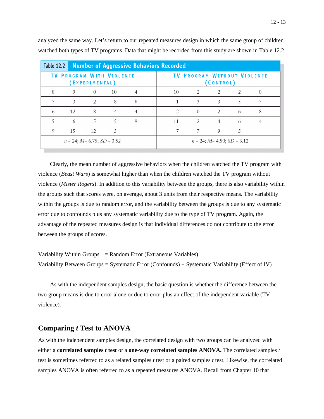|                                            |    |                |                                                 |   | Table 12.2 Number of Aggressive Behaviors Recorded |                |                                     |                |                  |
|--------------------------------------------|----|----------------|-------------------------------------------------|---|----------------------------------------------------|----------------|-------------------------------------|----------------|------------------|
| TV PROGRAM WITH VIOLENCE<br>(EXPERIMENTAL) |    |                | <b>TV PROGRAM WITHOUT VIOLENCE</b><br>(CONTROL) |   |                                                    |                |                                     |                |                  |
| 8                                          | 9  | $\overline{0}$ | 10                                              |   | 10                                                 | $\overline{2}$ | $\overline{2}$                      | $\overline{2}$ | $\left( \right)$ |
|                                            | 3  | 2              | 8 <sup>8</sup>                                  | 8 |                                                    | 3              | 3                                   | 5              | 7                |
| 6                                          | 12 | 8              | $\overline{4}$                                  |   | $\mathfrak{D}$                                     | $\overline{0}$ | $\overline{2}$                      | -6             | 8                |
|                                            | -6 | $\overline{5}$ | 5                                               | 9 | 11                                                 | $\overline{2}$ | $\overline{4}$                      | -6             |                  |
| 9                                          | 15 | 12             | 3                                               |   |                                                    | 7              | 9                                   |                |                  |
| $n = 24$ ; $M = 6.75$ ; $SD = 3.52$        |    |                |                                                 |   |                                                    |                | $n = 24$ ; $M = 4.50$ ; $SD = 3.12$ |                |                  |

analyzed the same way. Let's return to our repeated measures design in which the same group of children watched both types of TV programs. Data that might be recorded from this study are shown in Table 12.2.

Clearly, the mean number of aggressive behaviors when the children watched the TV program with violence (*Beast Wars*) is somewhat higher than when the children watched the TV program without violence (*Mister Rogers*). In addition to this variability between the groups, there is also variability within the groups such that scores were, on average, about 3 units from their respective means. The variability within the groups is due to random error, and the variability between the groups is due to any systematic error due to confounds plus any systematic variability due to the type of TV program. Again, the advantage of the repeated measures design is that individual differences do not contribute to the error between the groups of scores.

Variability Within Groups  $=$  Random Error (Extraneous Variables) Variability Between Groups = Systematic Error (Confounds) + Systematic Variability (Effect of IV)

As with the independent samples design, the basic question is whether the difference between the two group means is due to error alone or due to error plus an effect of the independent variable (TV violence).

### **Comparing** *t* **Test to ANOVA**

As with the independent samples design, the correlated design with two groups can be analyzed with either a **correlated samples** *t* **test** or a **one-way correlated samples ANOVA.** The correlated samples *t* test is sometimes referred to as a related samples *t* test or a paired samples *t* test. Likewise, the correlated samples ANOVA is often referred to as a repeated measures ANOVA. Recall from Chapter 10 that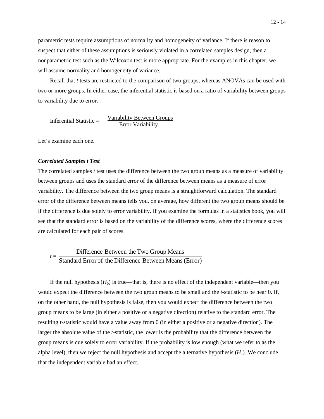parametric tests require assumptions of normality and homogeneity of variance. If there is reason to suspect that either of these assumptions is seriously violated in a correlated samples design, then a nonparametric test such as the Wilcoxon test is more appropriate. For the examples in this chapter, we will assume normality and homogeneity of variance.

Recall that *t* tests are restricted to the comparison of two groups, whereas ANOVAs can be used with two or more groups. In either case, the inferential statistic is based on a ratio of variability between groups to variability due to error.

Inferential Statistic = Variability Between Groups Error Variability

Let's examine each one.

#### *Correlated Samples t Test*

The correlated samples *t* test uses the difference between the two group means as a measure of variability between groups and uses the standard error of the difference between means as a measure of error variability. The difference between the two group means is a straightforward calculation. The standard error of the difference between means tells you, on average, how different the two group means should be if the difference is due solely to error variability. If you examine the formulas in a statistics book, you will see that the standard error is based on the variability of the difference scores, where the difference scores are calculated for each pair of scores.

 $t =$ Standard Error of the Difference Between Means (Error) Difference Between the Two Group Means

If the null hypothesis  $(H_0)$  is true—that is, there is no effect of the independent variable—then you would expect the difference between the two group means to be small and the *t*-statistic to be near 0. If, on the other hand, the null hypothesis is false, then you would expect the difference between the two group means to be large (in either a positive or a negative direction) relative to the standard error. The resulting *t*-statistic would have a value away from 0 (in either a positive or a negative direction). The larger the absolute value of the *t*-statistic, the lower is the probability that the difference between the group means is due solely to error variability. If the probability is low enough (what we refer to as the alpha level), then we reject the null hypothesis and accept the alternative hypothesis  $(H_1)$ . We conclude that the independent variable had an effect.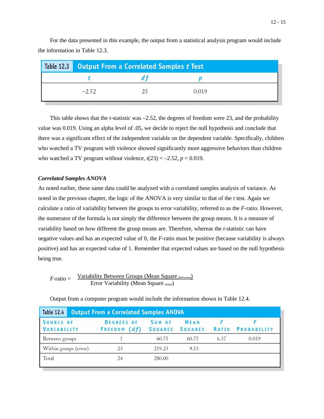| 12 - 15 |  |
|---------|--|
|         |  |

For the data presented in this example, the output from a statistical analysis program would include the information in Table 12.3.

| Table 12.3 Output From a Correlated Samples t Test |  |       |  |  |  |  |
|----------------------------------------------------|--|-------|--|--|--|--|
|                                                    |  |       |  |  |  |  |
| $-2.52$                                            |  | 0.019 |  |  |  |  |

This table shows that the *t*-statistic was –2.52, the degrees of freedom were 23, and the probability value was 0.019. Using an alpha level of .05, we decide to reject the null hypothesis and conclude that there was a significant effect of the independent variable on the dependent variable. Specifically, children who watched a TV program with violence showed significantly more aggressive behaviors than children who watched a TV program without violence,  $t(23) = -2.52$ ,  $p = 0.019$ .

### *Correlated Samples ANOVA*

As noted earlier, these same data could be analyzed with a correlated samples analysis of variance. As noted in the previous chapter, the logic of the ANOVA is very similar to that of the *t* test. Again we calculate a ratio of variability between the groups to error variability, referred to as the *F*-ratio. However, the numerator of the formula is not simply the difference between the group means. It is a measure of variability based on how different the group means are. Therefore, whereas the *t*-statistic can have negative values and has an expected value of 0, the *F*-ratio must be positive (because variability is always positive) and has an expected value of 1. Remember that expected values are based on the null hypothesis being true.

$$
F\text{-ratio} = \frac{\text{Variability Between Groups (Mean Square}_{\text{between}})}{\text{Error Variability (Mean Square}_{\text{error}})}
$$

Output from a computer program would include the information shown in Table 12.4.

| Table 12.4                      | <b>Output From a Correlated Samples ANOVA</b> |                                   |                          |                        |              |                    |  |  |
|---------------------------------|-----------------------------------------------|-----------------------------------|--------------------------|------------------------|--------------|--------------------|--|--|
| <b>SOURCE OF</b><br>VARIABILITY |                                               | <b>DEGREES OF</b><br>FREEDOM (df) | SUM OF<br><b>SQUARES</b> | MEAN<br><b>SQUARES</b> | <b>RATIO</b> | <b>PROBABILITY</b> |  |  |
| Between groups                  |                                               |                                   | 60.75                    | 60.75                  | 6.37         | 0.019              |  |  |
| Within groups (error)           |                                               | 23                                | 219.25                   | 9.53                   |              |                    |  |  |
| Total                           |                                               | 24                                | 280.00                   |                        |              |                    |  |  |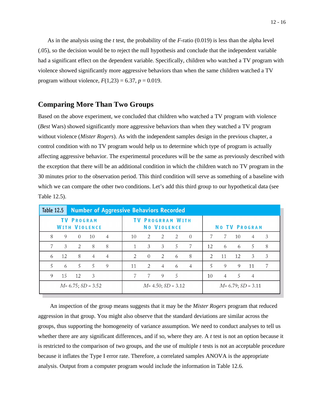As in the analysis using the *t* test, the probability of the *F*-ratio (0.019) is less than the alpha level (.05), so the decision would be to reject the null hypothesis and conclude that the independent variable had a significant effect on the dependent variable. Specifically, children who watched a TV program with violence showed significantly more aggressive behaviors than when the same children watched a TV program without violence,  $F(1,23) = 6.37, p = 0.019$ .

### **Comparing More Than Two Groups**

Based on the above experiment, we concluded that children who watched a TV program with violence (*Best* Wars) showed significantly more aggressive behaviors than when they watched a TV program without violence (*Mister Rogers*). As with the independent samples design in the previous chapter, a control condition with no TV program would help us to determine which type of program is actually affecting aggressive behavior. The experimental procedures will be the same as previously described with the exception that there will be an additional condition in which the children watch no TV program in the 30 minutes prior to the observation period. This third condition will serve as something of a baseline with which we can compare the other two conditions. Let's add this third group to our hypothetical data (see Table 12.5).

|                                                                                            | Table 12.5 Number of Aggressive Behaviors Recorded |                        |                |                |                |                 |                      |                |                |             |                |    |                     |                |
|--------------------------------------------------------------------------------------------|----------------------------------------------------|------------------------|----------------|----------------|----------------|-----------------|----------------------|----------------|----------------|-------------|----------------|----|---------------------|----------------|
| <b>TV PROGRAM</b><br><b>TV PROGRRAM WITH</b><br><b>WITH VIOLENCE</b><br><b>NO VIOLENCE</b> |                                                    |                        |                |                |                |                 | <b>NO TV PROGRAM</b> |                |                |             |                |    |                     |                |
| 8                                                                                          | 9                                                  | $\overline{0}$         | 10             | $\overline{4}$ | 10             | 2 2             |                      | $\overline{2}$ | $\overline{0}$ |             | 7 7            | 10 | $\overline{4}$      | $\overline{3}$ |
| $\tau$                                                                                     | 3                                                  |                        | $2 \qquad 8$   | 8              | $\mathbf{1}$   | $\overline{3}$  | $\overline{3}$ 5     |                | -7             | 12          | 6              | 6  | 5                   | 8              |
| 6                                                                                          | 12                                                 | 8                      | $\overline{4}$ | $\overline{4}$ | 2              | $\overline{0}$  | $\overline{2}$       | -6             | 8              | $2^{1}$     | 11             | 12 | $\overline{3}$      | 3              |
| 5                                                                                          | 6                                                  | 5 <sup>7</sup>         | .5             | 9              | 11             | 2               | $\overline{4}$       | 6              | $\overline{4}$ | $5^{\circ}$ | 9              | 9  | 11                  | 7              |
| 9                                                                                          | 15                                                 | 12                     | - 3            |                | $\overline{7}$ | $7\overline{ }$ | 9                    | 5              |                | 10          | $\overline{4}$ | 5  | $\overline{4}$      |                |
|                                                                                            |                                                    | $M=6.75$ ; $SD = 3.52$ |                |                |                |                 | $M=4.50; SD = 3.12$  |                |                |             |                |    | $M=6.79; SD = 3.11$ |                |

An inspection of the group means suggests that it may be the *Mister Rogers* program that reduced aggression in that group. You might also observe that the standard deviations are similar across the groups, thus supporting the homogeneity of variance assumption. We need to conduct analyses to tell us whether there are any significant differences, and if so, where they are. A *t* test is not an option because it is restricted to the comparison of two groups, and the use of multiple *t* tests is not an acceptable procedure because it inflates the Type I error rate. Therefore, a correlated samples ANOVA is the appropriate analysis. Output from a computer program would include the information in Table 12.6.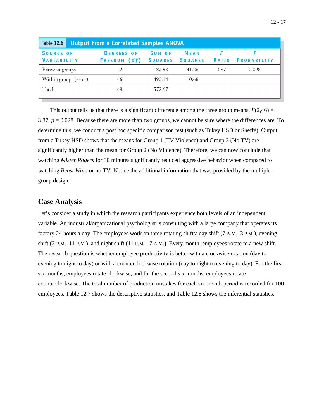|--|--|

| <b>Table 12.6</b>                      | <b>Output From a Correlated Samples ANOVA</b> |                          |                        |              |                    |  |  |
|----------------------------------------|-----------------------------------------------|--------------------------|------------------------|--------------|--------------------|--|--|
| <b>SOURCE OF</b><br><b>VARIABILITY</b> | <b>DEGREES OF</b><br><b>FREEDOM</b> (df)      | SUM OF<br><b>SQUARES</b> | MEAN<br><b>SQUARES</b> | <b>RATIO</b> | <b>PROBABILITY</b> |  |  |
| Between groups                         |                                               | 82.53                    | 41.26                  | 3.87         | 0.028              |  |  |
| Within groups (error)                  | 46                                            | 490.14                   | 10.66                  |              |                    |  |  |
| Total                                  | 48                                            | 572.67                   |                        |              |                    |  |  |

This output tells us that there is a significant difference among the three group means,  $F(2,46) =$ 3.87, *p* = 0.028. Because there are more than two groups, we cannot be sure where the differences are. To determine this, we conduct a post hoc specific comparison test (such as Tukey HSD or Sheffé). Output from a Tukey HSD shows that the means for Group 1 (TV Violence) and Group 3 (No TV) are significantly higher than the mean for Group 2 (No Violence). Therefore, we can now conclude that watching *Mister Rogers* for 30 minutes significantly reduced aggressive behavior when compared to watching *Beast Wars* or no TV. Notice the additional information that was provided by the multiplegroup design.

### **Case Analysis**

Let's consider a study in which the research participants experience both levels of an independent variable. An industrial/organizational psychologist is consulting with a large company that operates its factory 24 hours a day. The employees work on three rotating shifts: day shift (7 A.M.–3 P.M.), evening shift (3 P.M.–11 P.M.), and night shift (11 P.M.– 7 A.M.). Every month, employees rotate to a new shift. The research question is whether employee productivity is better with a clockwise rotation (day to evening to night to day) or with a counterclockwise rotation (day to night to evening to day). For the first six months, employees rotate clockwise, and for the second six months, employees rotate counterclockwise. The total number of production mistakes for each six-month period is recorded for 100 employees. Table 12.7 shows the descriptive statistics, and Table 12.8 shows the inferential statistics.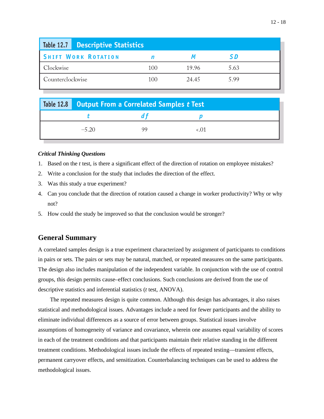|                  | Table 12.7 Descriptive Statistics |     |       |      |  |
|------------------|-----------------------------------|-----|-------|------|--|
|                  | <b>SHIFT WORK ROTATION</b>        |     |       | S D  |  |
| Clockwise        |                                   | 100 | 19.96 | 5.63 |  |
| Counterclockwise |                                   | 100 | 24.45 | 5.99 |  |

| Table 12.8 Output From a Correlated Samples t Test |  |       |  |  |  |
|----------------------------------------------------|--|-------|--|--|--|
|                                                    |  |       |  |  |  |
| $-5.20$                                            |  | < ()1 |  |  |  |

#### *Critical Thinking Questions*

- 1. Based on the *t* test, is there a significant effect of the direction of rotation on employee mistakes?
- 2. Write a conclusion for the study that includes the direction of the effect.
- 3. Was this study a true experiment?
- 4. Can you conclude that the direction of rotation caused a change in worker productivity? Why or why not?
- 5. How could the study be improved so that the conclusion would be stronger?

### **General Summary**

A correlated samples design is a true experiment characterized by assignment of participants to conditions in pairs or sets. The pairs or sets may be natural, matched, or repeated measures on the same participants. The design also includes manipulation of the independent variable. In conjunction with the use of control groups, this design permits cause–effect conclusions. Such conclusions are derived from the use of descriptive statistics and inferential statistics (*t* test, ANOVA).

The repeated measures design is quite common. Although this design has advantages, it also raises statistical and methodological issues. Advantages include a need for fewer participants and the ability to eliminate individual differences as a source of error between groups. Statistical issues involve assumptions of homogeneity of variance and covariance, wherein one assumes equal variability of scores in each of the treatment conditions and that participants maintain their relative standing in the different treatment conditions. Methodological issues include the effects of repeated testing—transient effects, permanent carryover effects, and sensitization. Counterbalancing techniques can be used to address the methodological issues.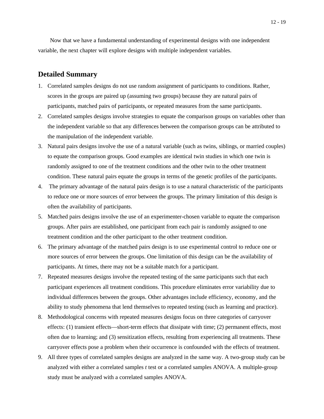Now that we have a fundamental understanding of experimental designs with one independent variable, the next chapter will explore designs with multiple independent variables.

### **Detailed Summary**

- 1. Correlated samples designs do not use random assignment of participants to conditions. Rather, scores in the groups are paired up (assuming two groups) because they are natural pairs of participants, matched pairs of participants, or repeated measures from the same participants.
- 2. Correlated samples designs involve strategies to equate the comparison groups on variables other than the independent variable so that any differences between the comparison groups can be attributed to the manipulation of the independent variable.
- 3. Natural pairs designs involve the use of a natural variable (such as twins, siblings, or married couples) to equate the comparison groups. Good examples are identical twin studies in which one twin is randomly assigned to one of the treatment conditions and the other twin to the other treatment condition. These natural pairs equate the groups in terms of the genetic profiles of the participants.
- 4. The primary advantage of the natural pairs design is to use a natural characteristic of the participants to reduce one or more sources of error between the groups. The primary limitation of this design is often the availability of participants.
- 5. Matched pairs designs involve the use of an experimenter-chosen variable to equate the comparison groups. After pairs are established, one participant from each pair is randomly assigned to one treatment condition and the other participant to the other treatment condition.
- 6. The primary advantage of the matched pairs design is to use experimental control to reduce one or more sources of error between the groups. One limitation of this design can be the availability of participants. At times, there may not be a suitable match for a participant.
- 7. Repeated measures designs involve the repeated testing of the same participants such that each participant experiences all treatment conditions. This procedure eliminates error variability due to individual differences between the groups. Other advantages include efficiency, economy, and the ability to study phenomena that lend themselves to repeated testing (such as learning and practice).
- 8. Methodological concerns with repeated measures designs focus on three categories of carryover effects: (1) transient effects—short-term effects that dissipate with time; (2) permanent effects, most often due to learning; and (3) sensitization effects, resulting from experiencing all treatments. These carryover effects pose a problem when their occurrence is confounded with the effects of treatment.
- 9. All three types of correlated samples designs are analyzed in the same way. A two-group study can be analyzed with either a correlated samples *t* test or a correlated samples ANOVA. A multiple-group study must be analyzed with a correlated samples ANOVA.